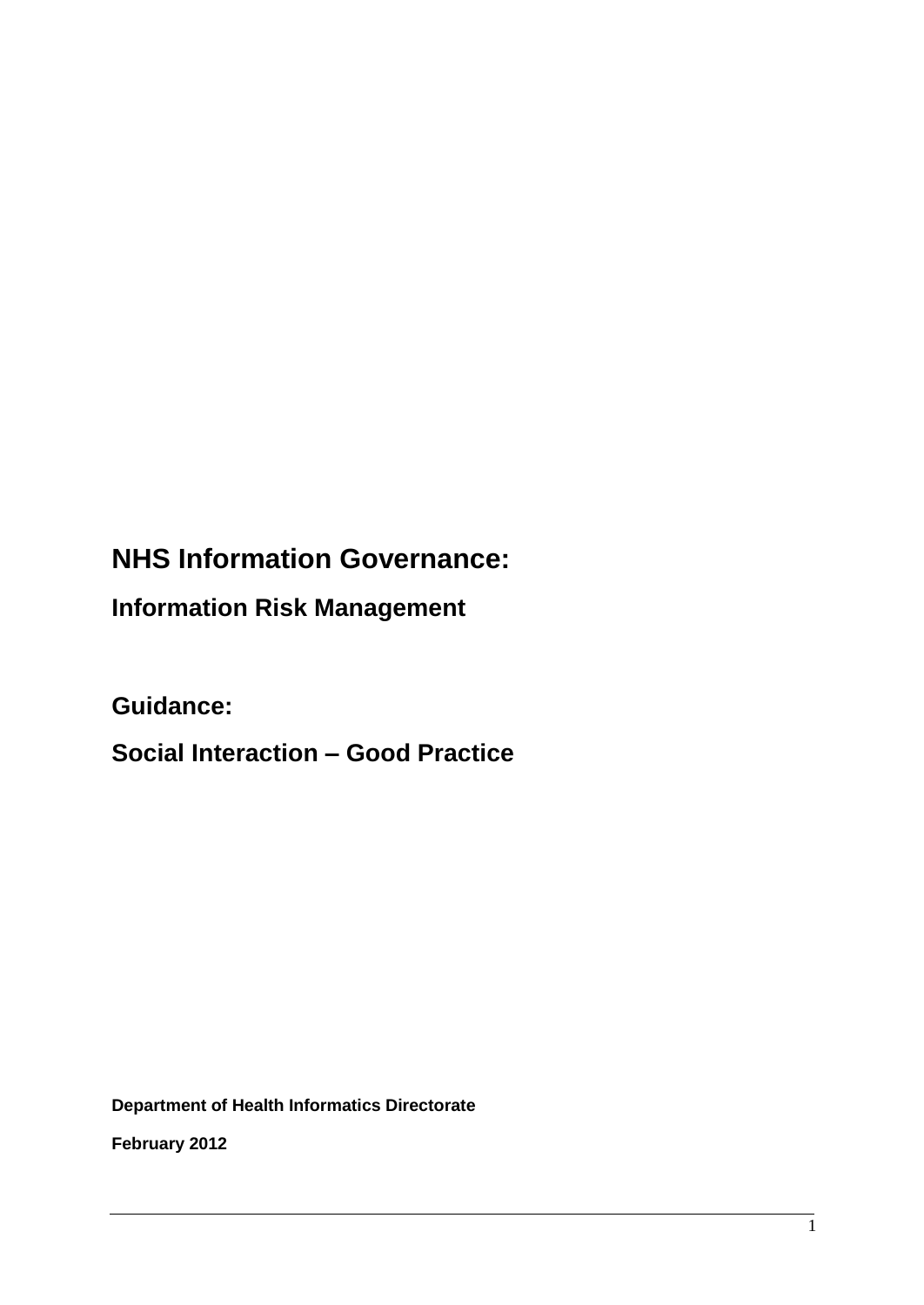# **NHS Information Governance:**

**Information Risk Management**

**Guidance:** 

**Social Interaction – Good Practice**

**Department of Health Informatics Directorate**

**February 2012**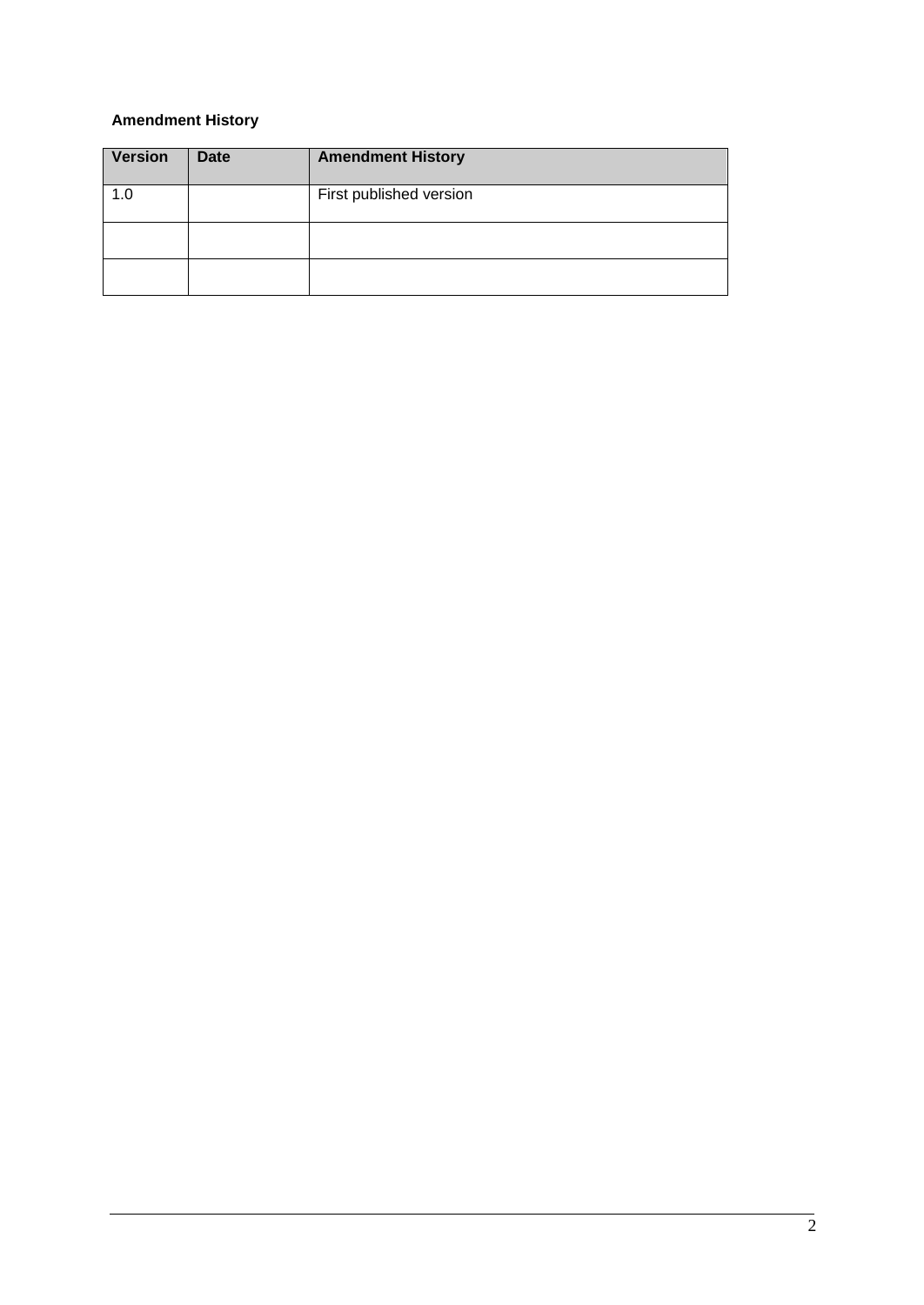# **Amendment History**

| Version | <b>Date</b> | <b>Amendment History</b> |
|---------|-------------|--------------------------|
| 1.0     |             | First published version  |
|         |             |                          |
|         |             |                          |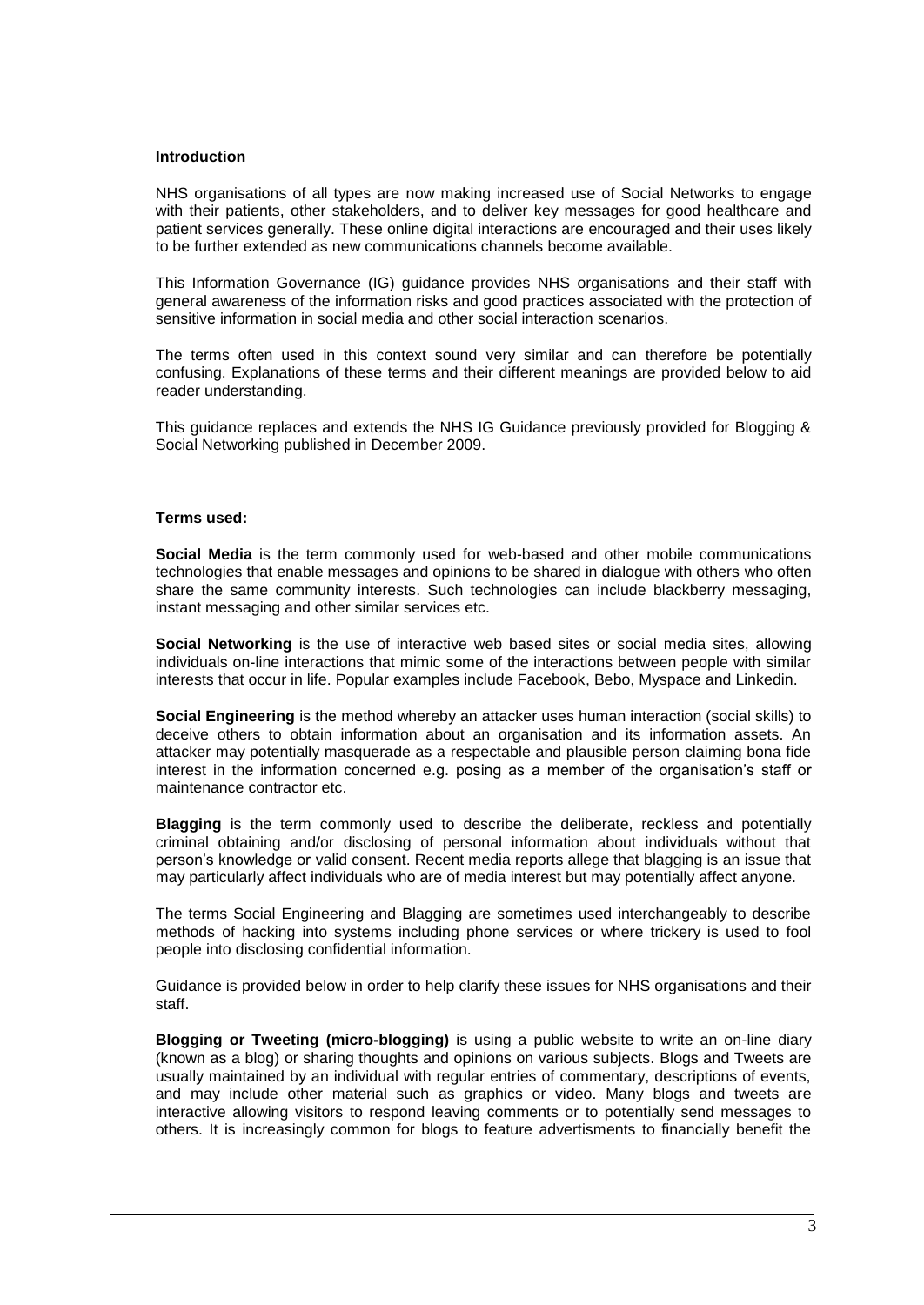#### **Introduction**

NHS organisations of all types are now making increased use of Social Networks to engage with their patients, other stakeholders, and to deliver key messages for good healthcare and patient services generally. These online digital interactions are encouraged and their uses likely to be further extended as new communications channels become available.

This Information Governance (IG) guidance provides NHS organisations and their staff with general awareness of the information risks and good practices associated with the protection of sensitive information in social media and other social interaction scenarios.

The terms often used in this context sound very similar and can therefore be potentially confusing. Explanations of these terms and their different meanings are provided below to aid reader understanding.

This guidance replaces and extends the NHS IG Guidance previously provided for Blogging & Social Networking published in December 2009.

#### **Terms used:**

**Social Media** is the term commonly used for web-based and other mobile communications technologies that enable messages and opinions to be shared in dialogue with others who often share the same community interests. Such technologies can include blackberry messaging, instant messaging and other similar services etc.

**Social Networking** is the use of interactive web based sites or social media sites, allowing individuals on-line interactions that mimic some of the interactions between people with similar interests that occur in life. Popular examples include Facebook, Bebo, Myspace and Linkedin.

**Social Engineering** is the method whereby an attacker uses human interaction (social skills) to deceive others to obtain information about an organisation and its information assets. An attacker may potentially masquerade as a respectable and plausible person claiming bona fide interest in the information concerned e.g. posing as a member of the organisation"s staff or maintenance contractor etc.

**Blagging** is the term commonly used to describe the deliberate, reckless and potentially criminal obtaining and/or disclosing of personal information about individuals without that person"s knowledge or valid consent. Recent media reports allege that blagging is an issue that may particularly affect individuals who are of media interest but may potentially affect anyone.

The terms Social Engineering and Blagging are sometimes used interchangeably to describe methods of hacking into systems including phone services or where trickery is used to fool people into disclosing confidential information.

Guidance is provided below in order to help clarify these issues for NHS organisations and their staff.

**Blogging or Tweeting (micro-blogging)** is using a public website to write an on-line diary (known as a blog) or sharing thoughts and opinions on various subjects. Blogs and Tweets are usually maintained by an individual with regular entries of commentary, descriptions of events, and may include other material such as graphics or video. Many blogs and tweets are interactive allowing visitors to respond leaving comments or to potentially send messages to others. It is increasingly common for blogs to feature advertisments to financially benefit the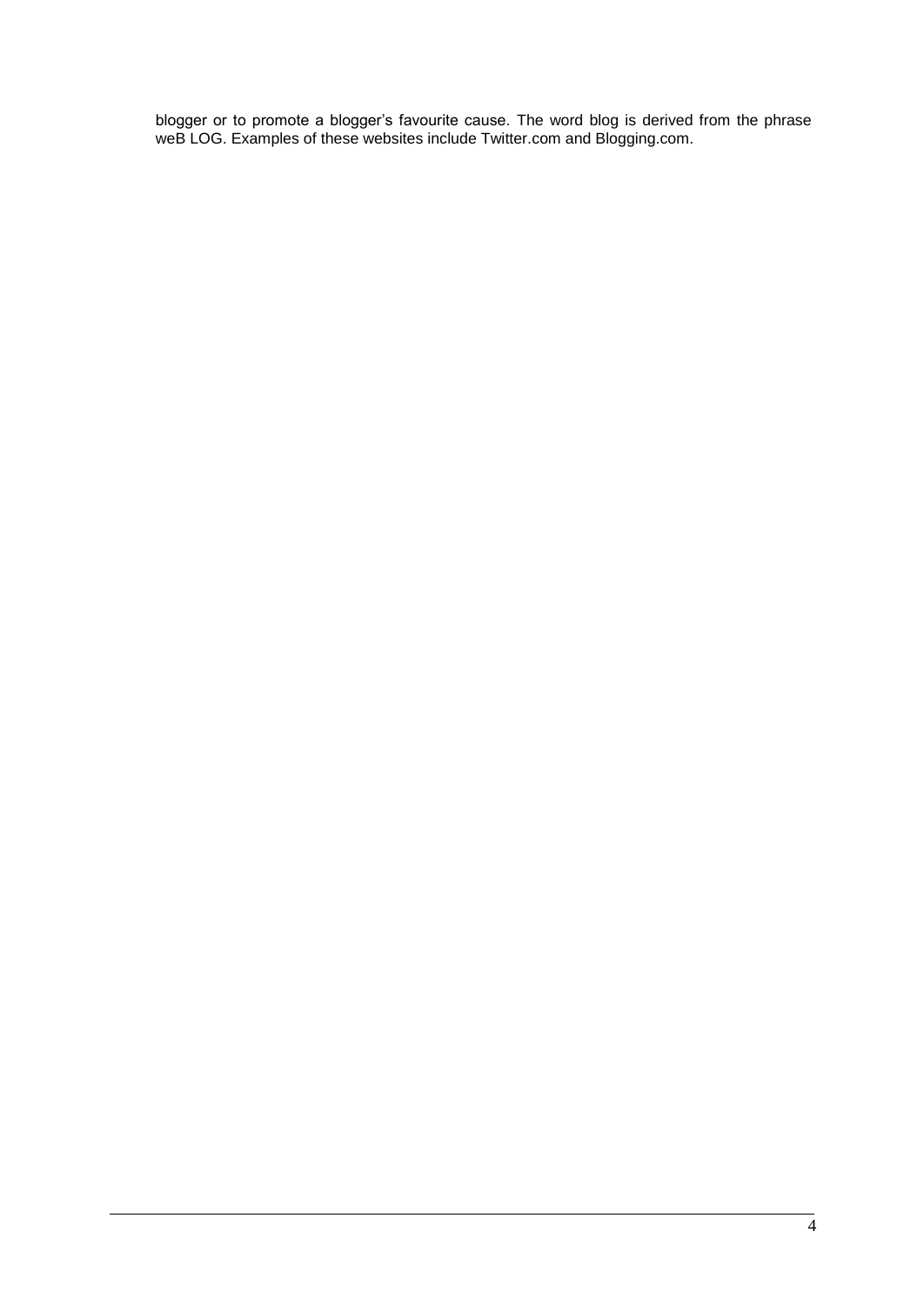blogger or to promote a blogger"s favourite cause. The word blog is derived from the phrase weB LOG. Examples of these websites include Twitter.com and Blogging.com.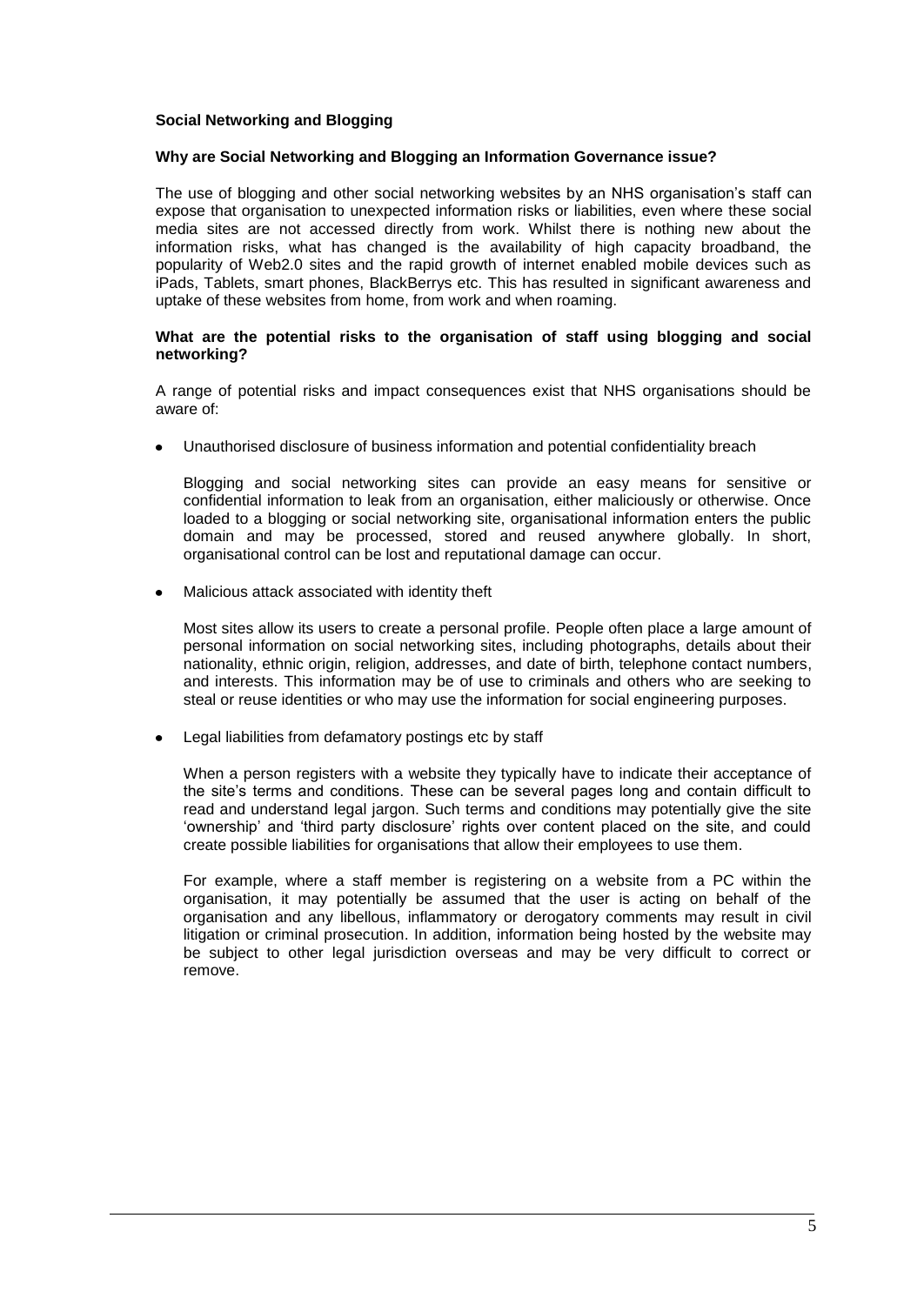## **Social Networking and Blogging**

#### **Why are Social Networking and Blogging an Information Governance issue?**

The use of blogging and other social networking websites by an NHS organisation"s staff can expose that organisation to unexpected information risks or liabilities, even where these social media sites are not accessed directly from work. Whilst there is nothing new about the information risks, what has changed is the availability of high capacity broadband, the popularity of Web2.0 sites and the rapid growth of internet enabled mobile devices such as iPads, Tablets, smart phones, BlackBerrys etc. This has resulted in significant awareness and uptake of these websites from home, from work and when roaming.

#### **What are the potential risks to the organisation of staff using blogging and social networking?**

A range of potential risks and impact consequences exist that NHS organisations should be aware of:

Unauthorised disclosure of business information and potential confidentiality breach

Blogging and social networking sites can provide an easy means for sensitive or confidential information to leak from an organisation, either maliciously or otherwise. Once loaded to a blogging or social networking site, organisational information enters the public domain and may be processed, stored and reused anywhere globally. In short, organisational control can be lost and reputational damage can occur.

Malicious attack associated with identity theft

Most sites allow its users to create a personal profile. People often place a large amount of personal information on social networking sites, including photographs, details about their nationality, ethnic origin, religion, addresses, and date of birth, telephone contact numbers, and interests. This information may be of use to criminals and others who are seeking to steal or reuse identities or who may use the information for social engineering purposes.

Legal liabilities from defamatory postings etc by staff

When a person registers with a website they typically have to indicate their acceptance of the site"s terms and conditions. These can be several pages long and contain difficult to read and understand legal jargon. Such terms and conditions may potentially give the site "ownership" and "third party disclosure" rights over content placed on the site, and could create possible liabilities for organisations that allow their employees to use them.

For example, where a staff member is registering on a website from a PC within the organisation, it may potentially be assumed that the user is acting on behalf of the organisation and any libellous, inflammatory or derogatory comments may result in civil litigation or criminal prosecution. In addition, information being hosted by the website may be subject to other legal jurisdiction overseas and may be very difficult to correct or remove.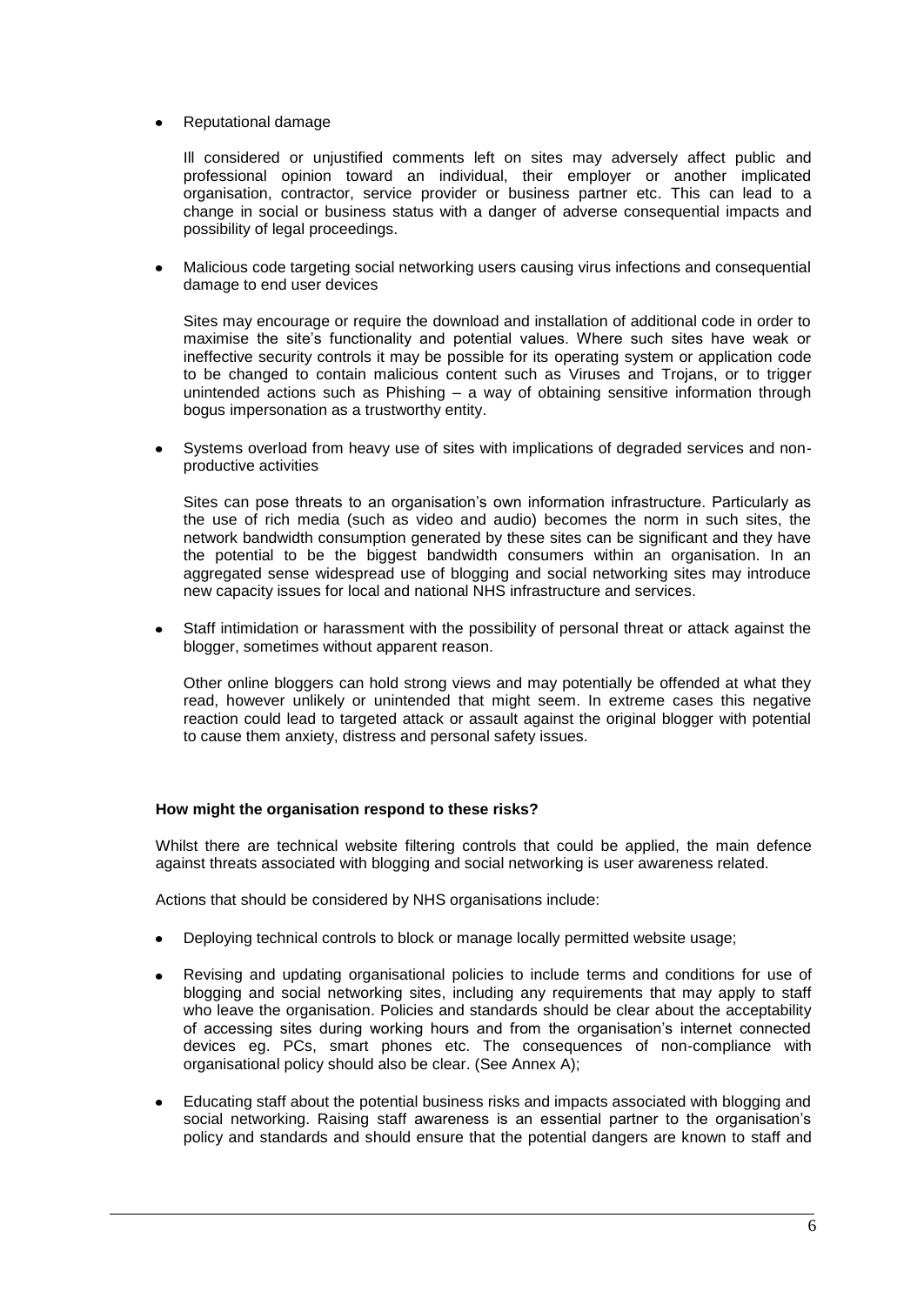## Reputational damage

Ill considered or unjustified comments left on sites may adversely affect public and professional opinion toward an individual, their employer or another implicated organisation, contractor, service provider or business partner etc. This can lead to a change in social or business status with a danger of adverse consequential impacts and possibility of legal proceedings.

Malicious code targeting social networking users causing virus infections and consequential damage to end user devices

Sites may encourage or require the download and installation of additional code in order to maximise the site"s functionality and potential values. Where such sites have weak or ineffective security controls it may be possible for its operating system or application code to be changed to contain malicious content such as Viruses and Trojans, or to trigger unintended actions such as Phishing – a way of obtaining sensitive information through bogus impersonation as a trustworthy entity.

Systems overload from heavy use of sites with implications of degraded services and nonproductive activities

Sites can pose threats to an organisation's own information infrastructure. Particularly as the use of rich media (such as video and audio) becomes the norm in such sites, the network bandwidth consumption generated by these sites can be significant and they have the potential to be the biggest bandwidth consumers within an organisation. In an aggregated sense widespread use of blogging and social networking sites may introduce new capacity issues for local and national NHS infrastructure and services.

Staff intimidation or harassment with the possibility of personal threat or attack against the blogger, sometimes without apparent reason.

Other online bloggers can hold strong views and may potentially be offended at what they read, however unlikely or unintended that might seem. In extreme cases this negative reaction could lead to targeted attack or assault against the original blogger with potential to cause them anxiety, distress and personal safety issues.

## **How might the organisation respond to these risks?**

Whilst there are technical website filtering controls that could be applied, the main defence against threats associated with blogging and social networking is user awareness related.

Actions that should be considered by NHS organisations include:

- Deploying technical controls to block or manage locally permitted website usage;
- Revising and updating organisational policies to include terms and conditions for use of blogging and social networking sites, including any requirements that may apply to staff who leave the organisation. Policies and standards should be clear about the acceptability of accessing sites during working hours and from the organisation"s internet connected devices eg. PCs, smart phones etc. The consequences of non-compliance with organisational policy should also be clear. (See Annex A);
- Educating staff about the potential business risks and impacts associated with blogging and social networking. Raising staff awareness is an essential partner to the organisation"s policy and standards and should ensure that the potential dangers are known to staff and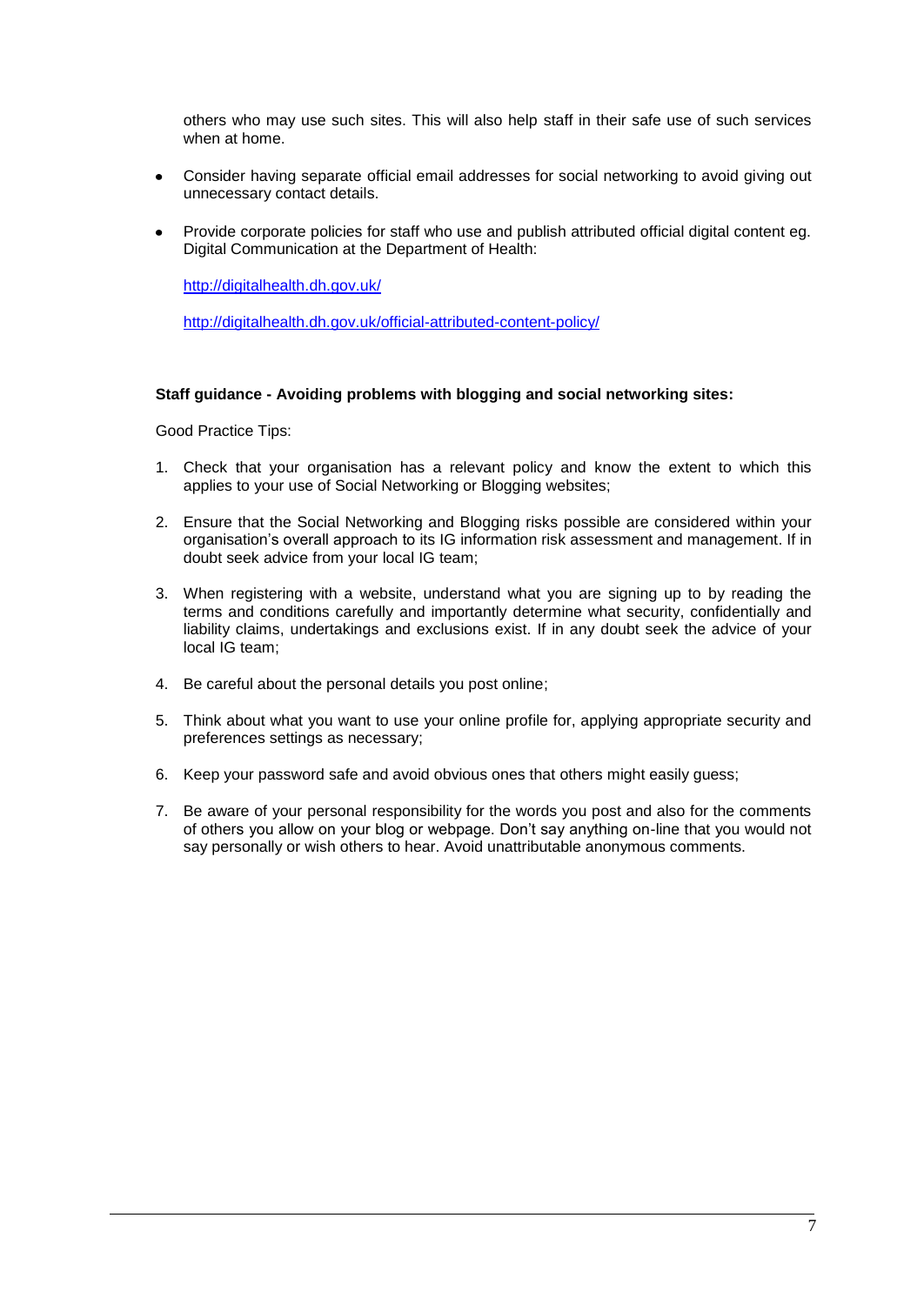others who may use such sites. This will also help staff in their safe use of such services when at home.

- Consider having separate official email addresses for social networking to avoid giving out unnecessary contact details.
- Provide corporate policies for staff who use and publish attributed official digital content eg. Digital Communication at the Department of Health:

<http://digitalhealth.dh.gov.uk/>

<http://digitalhealth.dh.gov.uk/official-attributed-content-policy/>

#### **Staff guidance - Avoiding problems with blogging and social networking sites:**

Good Practice Tips:

- 1. Check that your organisation has a relevant policy and know the extent to which this applies to your use of Social Networking or Blogging websites;
- 2. Ensure that the Social Networking and Blogging risks possible are considered within your organisation"s overall approach to its IG information risk assessment and management. If in doubt seek advice from your local IG team;
- 3. When registering with a website, understand what you are signing up to by reading the terms and conditions carefully and importantly determine what security, confidentially and liability claims, undertakings and exclusions exist. If in any doubt seek the advice of your local IG team;
- 4. Be careful about the personal details you post online;
- 5. Think about what you want to use your online profile for, applying appropriate security and preferences settings as necessary;
- 6. Keep your password safe and avoid obvious ones that others might easily guess;
- 7. Be aware of your personal responsibility for the words you post and also for the comments of others you allow on your blog or webpage. Don"t say anything on-line that you would not say personally or wish others to hear. Avoid unattributable anonymous comments.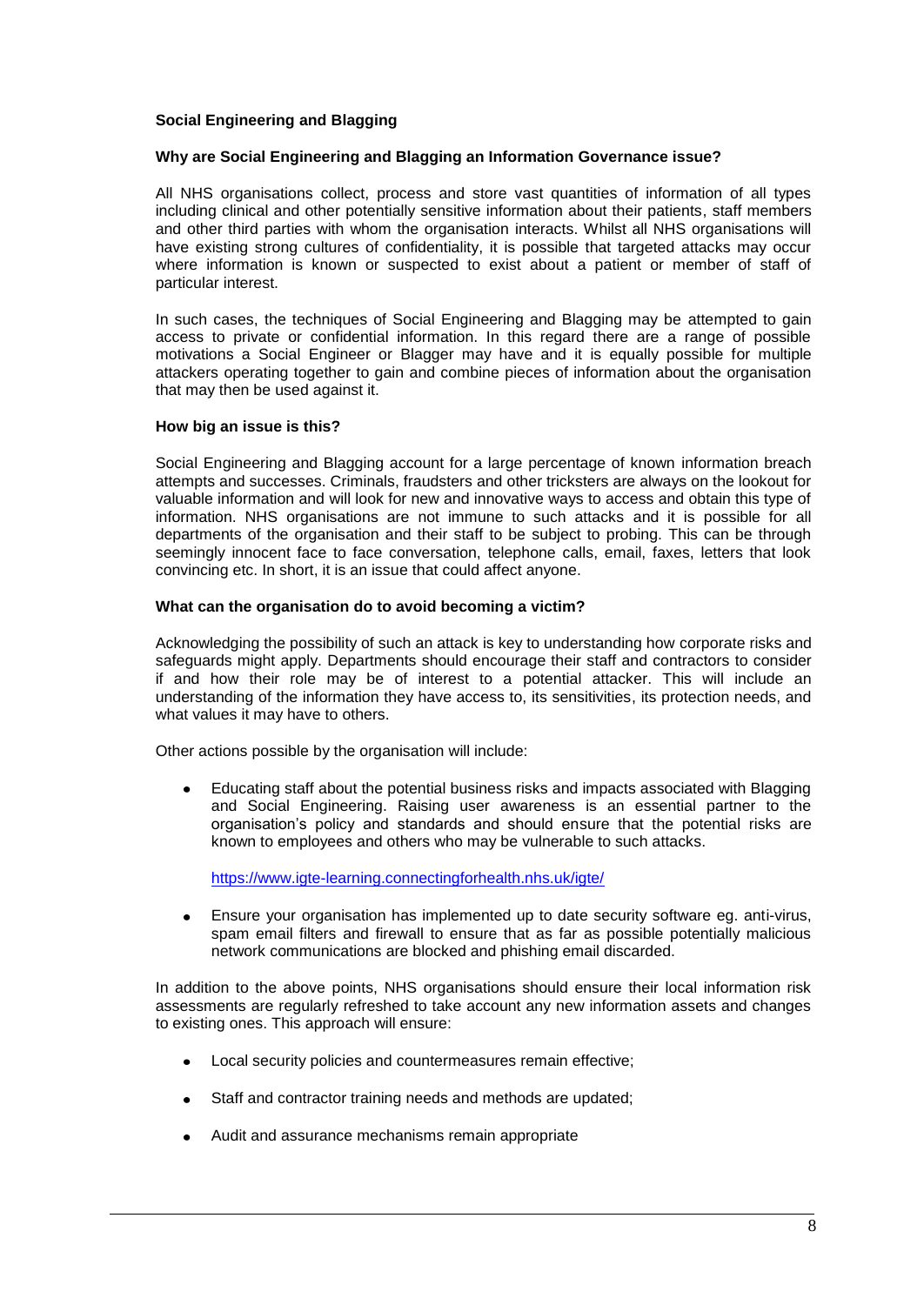## **Social Engineering and Blagging**

#### **Why are Social Engineering and Blagging an Information Governance issue?**

All NHS organisations collect, process and store vast quantities of information of all types including clinical and other potentially sensitive information about their patients, staff members and other third parties with whom the organisation interacts. Whilst all NHS organisations will have existing strong cultures of confidentiality, it is possible that targeted attacks may occur where information is known or suspected to exist about a patient or member of staff of particular interest.

In such cases, the techniques of Social Engineering and Blagging may be attempted to gain access to private or confidential information. In this regard there are a range of possible motivations a Social Engineer or Blagger may have and it is equally possible for multiple attackers operating together to gain and combine pieces of information about the organisation that may then be used against it.

#### **How big an issue is this?**

Social Engineering and Blagging account for a large percentage of known information breach attempts and successes. Criminals, fraudsters and other tricksters are always on the lookout for valuable information and will look for new and innovative ways to access and obtain this type of information. NHS organisations are not immune to such attacks and it is possible for all departments of the organisation and their staff to be subject to probing. This can be through seemingly innocent face to face conversation, telephone calls, email, faxes, letters that look convincing etc. In short, it is an issue that could affect anyone.

#### **What can the organisation do to avoid becoming a victim?**

Acknowledging the possibility of such an attack is key to understanding how corporate risks and safeguards might apply. Departments should encourage their staff and contractors to consider if and how their role may be of interest to a potential attacker. This will include an understanding of the information they have access to, its sensitivities, its protection needs, and what values it may have to others.

Other actions possible by the organisation will include:

Educating staff about the potential business risks and impacts associated with Blagging and Social Engineering. Raising user awareness is an essential partner to the organisation"s policy and standards and should ensure that the potential risks are known to employees and others who may be vulnerable to such attacks.

<https://www.igte-learning.connectingforhealth.nhs.uk/igte/>

Ensure your organisation has implemented up to date security software eg. anti-virus, spam email filters and firewall to ensure that as far as possible potentially malicious network communications are blocked and phishing email discarded.

In addition to the above points, NHS organisations should ensure their local information risk assessments are regularly refreshed to take account any new information assets and changes to existing ones. This approach will ensure:

- Local security policies and countermeasures remain effective;
- Staff and contractor training needs and methods are updated;
- Audit and assurance mechanisms remain appropriate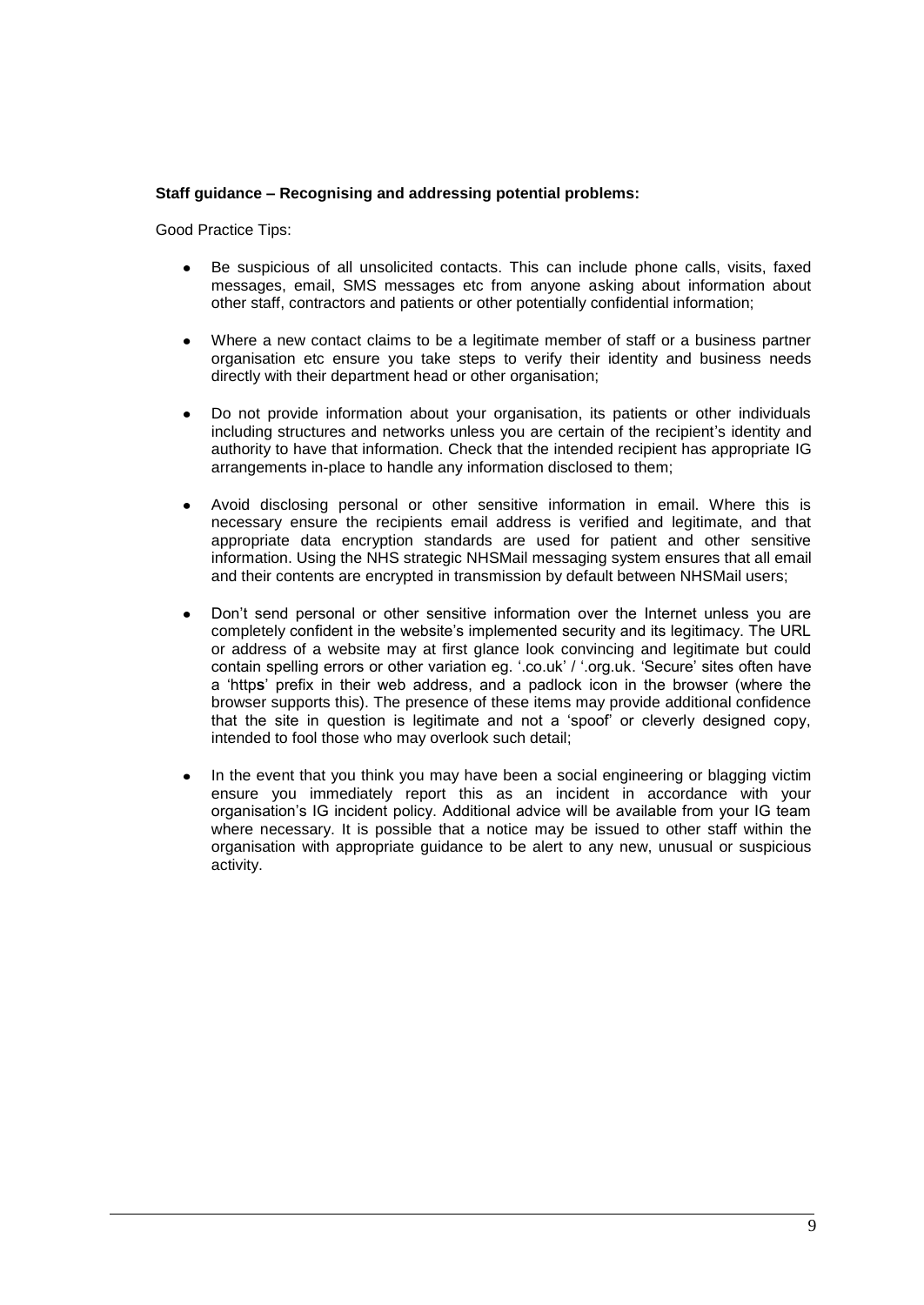#### **Staff guidance – Recognising and addressing potential problems:**

Good Practice Tips:

- Be suspicious of all unsolicited contacts. This can include phone calls, visits, faxed messages, email, SMS messages etc from anyone asking about information about other staff, contractors and patients or other potentially confidential information;
- Where a new contact claims to be a legitimate member of staff or a business partner organisation etc ensure you take steps to verify their identity and business needs directly with their department head or other organisation;
- Do not provide information about your organisation, its patients or other individuals including structures and networks unless you are certain of the recipient"s identity and authority to have that information. Check that the intended recipient has appropriate IG arrangements in-place to handle any information disclosed to them;
- Avoid disclosing personal or other sensitive information in email. Where this is necessary ensure the recipients email address is verified and legitimate, and that appropriate data encryption standards are used for patient and other sensitive information. Using the NHS strategic NHSMail messaging system ensures that all email and their contents are encrypted in transmission by default between NHSMail users;
- Don"t send personal or other sensitive information over the Internet unless you are completely confident in the website"s implemented security and its legitimacy. The URL or address of a website may at first glance look convincing and legitimate but could contain spelling errors or other variation eg. ".co.uk" / ".org.uk. "Secure" sites often have a "http**s**" prefix in their web address, and a padlock icon in the browser (where the browser supports this). The presence of these items may provide additional confidence that the site in question is legitimate and not a "spoof" or cleverly designed copy, intended to fool those who may overlook such detail;
- In the event that you think you may have been a social engineering or blagging victim ensure you immediately report this as an incident in accordance with your organisation"s IG incident policy. Additional advice will be available from your IG team where necessary. It is possible that a notice may be issued to other staff within the organisation with appropriate guidance to be alert to any new, unusual or suspicious activity.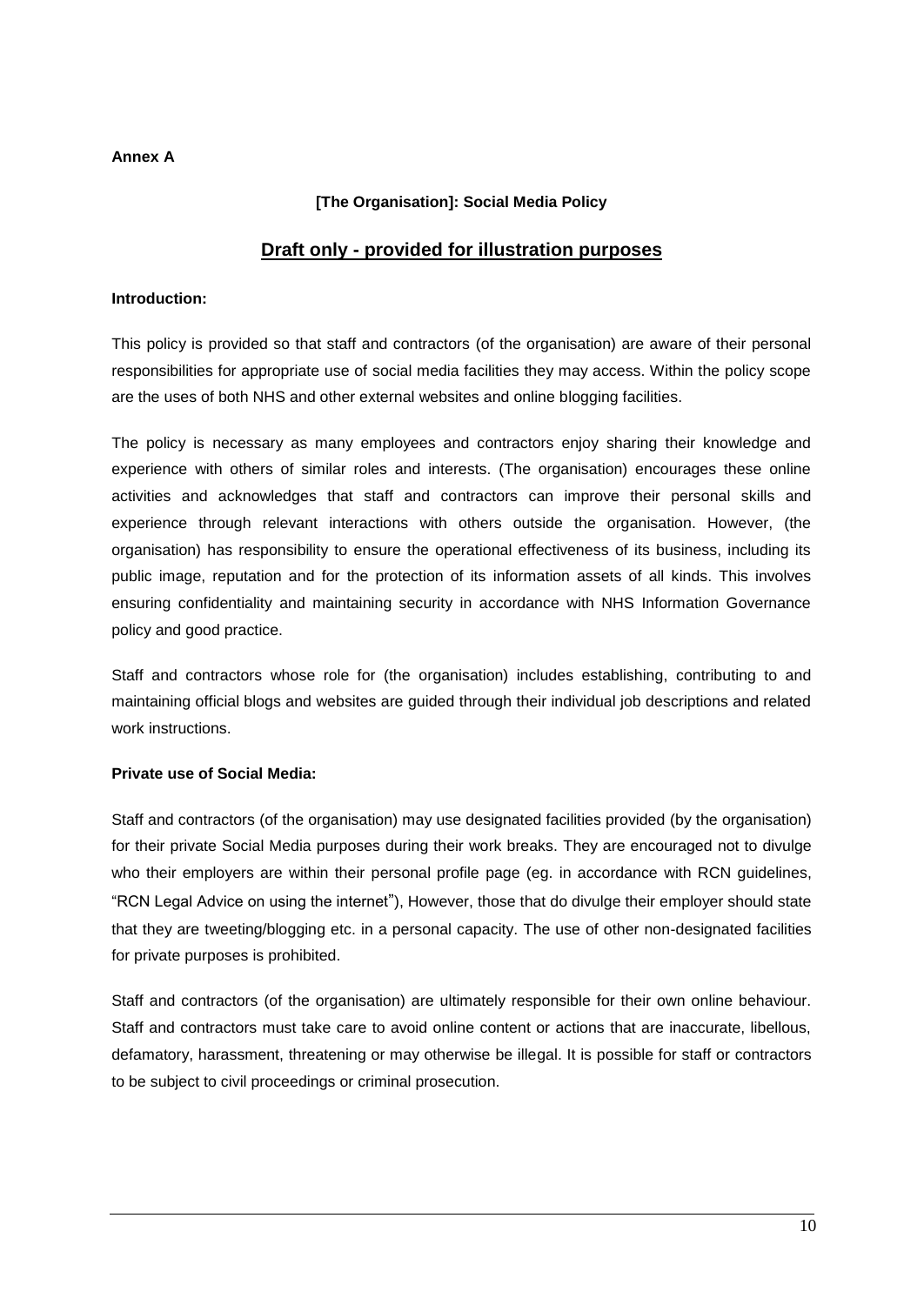## **Annex A**

## **[The Organisation]: Social Media Policy**

# **Draft only - provided for illustration purposes**

## **Introduction:**

This policy is provided so that staff and contractors (of the organisation) are aware of their personal responsibilities for appropriate use of social media facilities they may access. Within the policy scope are the uses of both NHS and other external websites and online blogging facilities.

The policy is necessary as many employees and contractors enjoy sharing their knowledge and experience with others of similar roles and interests. (The organisation) encourages these online activities and acknowledges that staff and contractors can improve their personal skills and experience through relevant interactions with others outside the organisation. However, (the organisation) has responsibility to ensure the operational effectiveness of its business, including its public image, reputation and for the protection of its information assets of all kinds. This involves ensuring confidentiality and maintaining security in accordance with NHS Information Governance policy and good practice.

Staff and contractors whose role for (the organisation) includes establishing, contributing to and maintaining official blogs and websites are guided through their individual job descriptions and related work instructions.

## **Private use of Social Media:**

Staff and contractors (of the organisation) may use designated facilities provided (by the organisation) for their private Social Media purposes during their work breaks. They are encouraged not to divulge who their employers are within their personal profile page (eg. in accordance with RCN guidelines, "RCN Legal Advice on using the internet"), However, those that do divulge their employer should state that they are tweeting/blogging etc. in a personal capacity. The use of other non-designated facilities for private purposes is prohibited.

Staff and contractors (of the organisation) are ultimately responsible for their own online behaviour. Staff and contractors must take care to avoid online content or actions that are inaccurate, libellous, defamatory, harassment, threatening or may otherwise be illegal. It is possible for staff or contractors to be subject to civil proceedings or criminal prosecution.